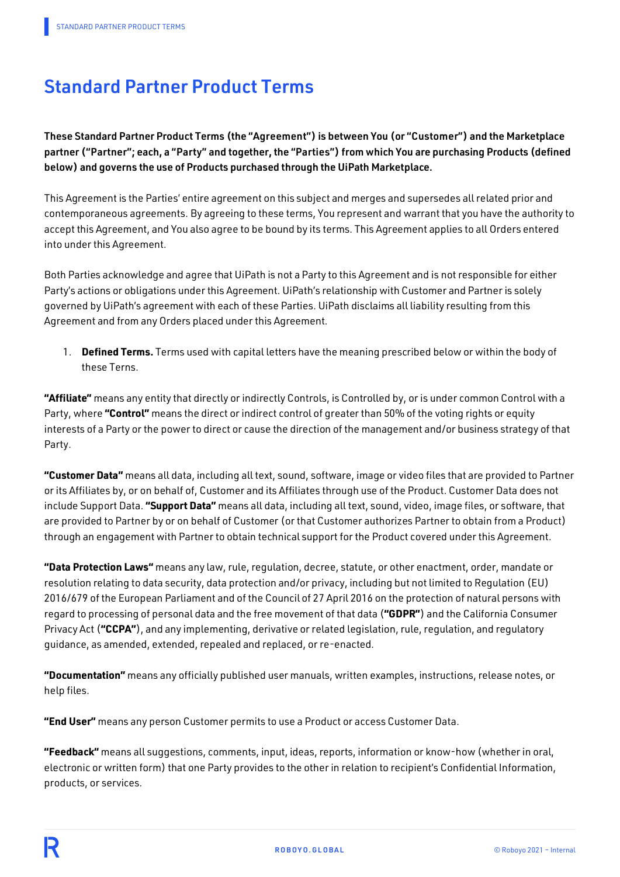# Standard Partner Product Terms

These Standard Partner Product Terms (the "Agreement") is between You (or "Customer") and the Marketplace partner ("Partner"; each, a "Party" and together, the "Parties") from which You are purchasing Products (defined below) and governs the use of Products purchased through the UiPath Marketplace.

This Agreement is the Parties' entire agreement on this subject and merges and supersedes all related prior and contemporaneous agreements. By agreeing to these terms, You represent and warrant that you have the authority to accept this Agreement, and You also agree to be bound by its terms. This Agreement applies to all Orders entered into under this Agreement.

Both Parties acknowledge and agree that UiPath is not a Party to this Agreement and is not responsible for either Party's actions or obligations under this Agreement. UiPath's relationship with Customer and Partner is solely governed by UiPath's agreement with each of these Parties. UiPath disclaims all liability resulting from this Agreement and from any Orders placed under this Agreement.

1. **Defined Terms.** Terms used with capital letters have the meaning prescribed below or within the body of these Terns.

**"Affiliate"** means any entity that directly or indirectly Controls, is Controlled by, or is under common Control with a Party, where **"Control"** means the direct or indirect control of greater than 50% of the voting rights or equity interests of a Party or the power to direct or cause the direction of the management and/or business strategy of that Party.

**"Customer Data"** means all data, including all text, sound, software, image or video files that are provided to Partner or its Affiliates by, or on behalf of, Customer and its Affiliates through use of the Product. Customer Data does not include Support Data. **"Support Data"** means all data, including all text, sound, video, image files, or software, that are provided to Partner by or on behalf of Customer (or that Customer authorizes Partner to obtain from a Product) through an engagement with Partner to obtain technical support for the Product covered under this Agreement.

**"Data Protection Laws"** means any law, rule, regulation, decree, statute, or other enactment, order, mandate or resolution relating to data security, data protection and/or privacy, including but not limited to Regulation (EU) 2016/679 of the European Parliament and of the Council of 27 April 2016 on the protection of natural persons with regard to processing of personal data and the free movement of that data (**"GDPR"**) and the California Consumer Privacy Act (**"CCPA"**), and any implementing, derivative or related legislation, rule, regulation, and regulatory guidance, as amended, extended, repealed and replaced, or re-enacted.

**"Documentation"** means any officially published user manuals, written examples, instructions, release notes, or help files.

**"End User"** means any person Customer permits to use a Product or access Customer Data.

**"Feedback"** means all suggestions, comments, input, ideas, reports, information or know-how (whether in oral, electronic or written form) that one Party provides to the other in relation to recipient's Confidential Information, products, or services.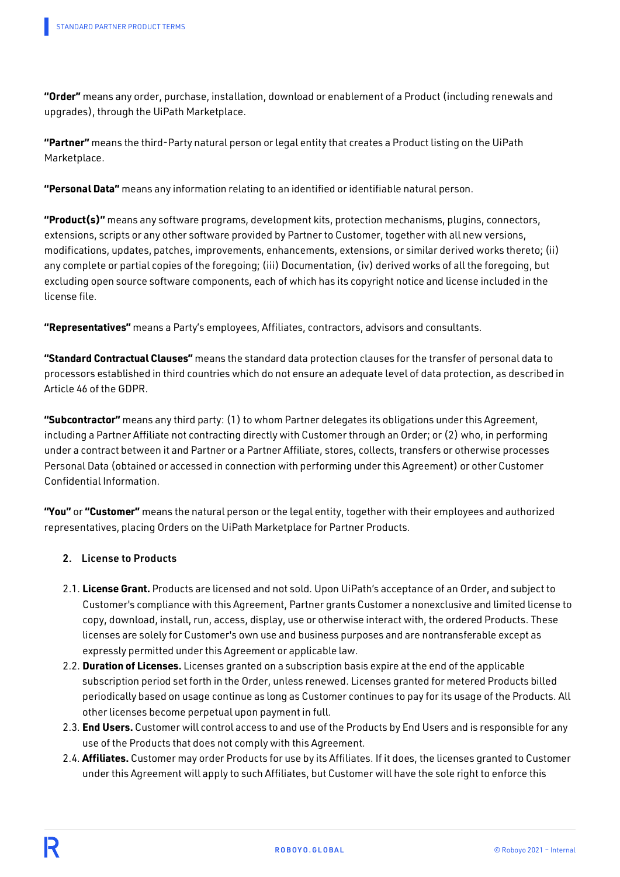**"Order"** means any order, purchase, installation, download or enablement of a Product (including renewals and upgrades), through the UiPath Marketplace.

**"Partner"** means the third-Party natural person or legal entity that creates a Product listing on the UiPath Marketplace.

**"Personal Data"** means any information relating to an identified or identifiable natural person.

**"Product(s)"** means any software programs, development kits, protection mechanisms, plugins, connectors, extensions, scripts or any other software provided by Partner to Customer, together with all new versions, modifications, updates, patches, improvements, enhancements, extensions, or similar derived works thereto; (ii) any complete or partial copies of the foregoing; (iii) Documentation, (iv) derived works of all the foregoing, but excluding open source software components, each of which has its copyright notice and license included in the license file.

**"Representatives"** means a Party's employees, Affiliates, contractors, advisors and consultants.

**"Standard Contractual Clauses"** means the standard data protection clauses for the transfer of personal data to processors established in third countries which do not ensure an adequate level of data protection, as described in Article 46 of the GDPR.

**"Subcontractor"** means any third party: (1) to whom Partner delegates its obligations under this Agreement, including a Partner Affiliate not contracting directly with Customer through an Order; or (2) who, in performing under a contract between it and Partner or a Partner Affiliate, stores, collects, transfers or otherwise processes Personal Data (obtained or accessed in connection with performing under this Agreement) or other Customer Confidential Information.

**"You"** or **"Customer"** means the natural person or the legal entity, together with their employees and authorized representatives, placing Orders on the UiPath Marketplace for Partner Products.

#### 2. License to Products

- 2.1. **License Grant.** Products are licensed and not sold. Upon UiPath's acceptance of an Order, and subject to Customer's compliance with this Agreement, Partner grants Customer a nonexclusive and limited license to copy, download, install, run, access, display, use or otherwise interact with, the ordered Products. These licenses are solely for Customer's own use and business purposes and are nontransferable except as expressly permitted under this Agreement or applicable law.
- 2.2. **Duration of Licenses.** Licenses granted on a subscription basis expire at the end of the applicable subscription period set forth in the Order, unless renewed. Licenses granted for metered Products billed periodically based on usage continue as long as Customer continues to pay for its usage of the Products. All other licenses become perpetual upon payment in full.
- 2.3. **End Users.**Customer will control access to and use of the Products by End Users and is responsible for any use of the Products that does not comply with this Agreement.
- 2.4. **Affiliates.** Customer may order Products for use by its Affiliates. If it does, the licenses granted to Customer under this Agreement will apply to such Affiliates, but Customer will have the sole right to enforce this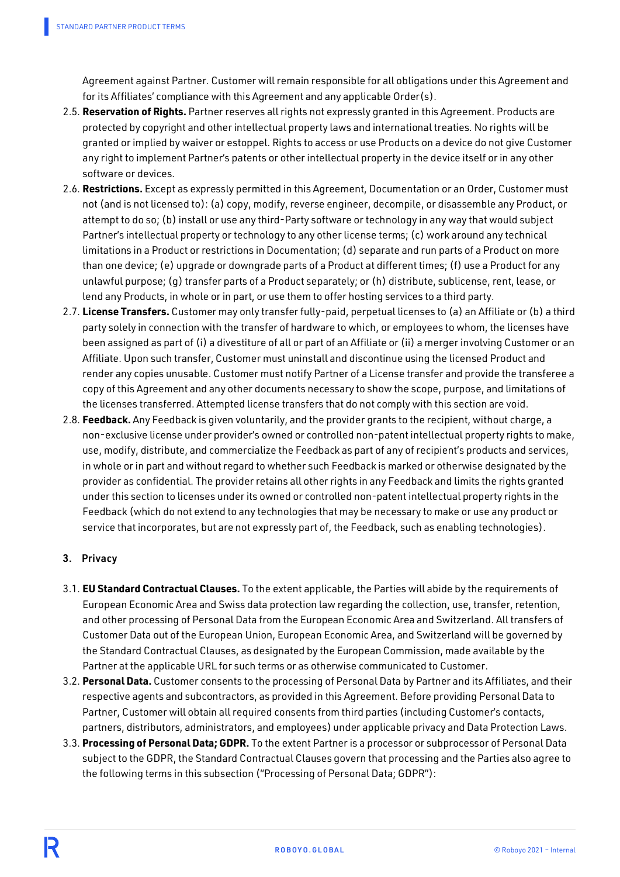Agreement against Partner. Customer will remain responsible for all obligations under this Agreement and for its Affiliates' compliance with this Agreement and any applicable Order(s).

- 2.5. **Reservation of Rights.** Partner reserves all rights not expressly granted in this Agreement. Products are protected by copyright and other intellectual property laws and international treaties. No rights will be granted or implied by waiver or estoppel. Rights to access or use Products on a device do not give Customer any right to implement Partner's patents or other intellectual property in the device itself or in any other software or devices.
- 2.6. **Restrictions.** Except as expressly permitted in this Agreement, Documentation or an Order, Customer must not (and is not licensed to): (a) copy, modify, reverse engineer, decompile, or disassemble any Product, or attempt to do so; (b) install or use any third-Party software or technology in any way that would subject Partner's intellectual property or technology to any other license terms; (c) work around any technical limitations in a Product or restrictions in Documentation; (d) separate and run parts of a Product on more than one device; (e) upgrade or downgrade parts of a Product at different times; (f) use a Product for any unlawful purpose; (g) transfer parts of a Product separately; or (h) distribute, sublicense, rent, lease, or lend any Products, in whole or in part, or use them to offer hosting services to a third party.
- 2.7. **License Transfers.** Customer may only transfer fully-paid, perpetual licenses to (a) an Affiliate or (b) a third party solely in connection with the transfer of hardware to which, or employees to whom, the licenses have been assigned as part of (i) a divestiture of all or part of an Affiliate or (ii) a merger involving Customer or an Affiliate. Upon such transfer, Customer must uninstall and discontinue using the licensed Product and render any copies unusable. Customer must notify Partner of a License transfer and provide the transferee a copy of this Agreement and any other documents necessary to show the scope, purpose, and limitations of the licenses transferred. Attempted license transfers that do not comply with this section are void.
- 2.8. **Feedback.** Any Feedback is given voluntarily, and the provider grants to the recipient, without charge, a non-exclusive license under provider's owned or controlled non-patent intellectual property rights to make, use, modify, distribute, and commercialize the Feedback as part of any of recipient's products and services, in whole or in part and without regard to whether such Feedback is marked or otherwise designated by the provider as confidential. The provider retains all other rights in any Feedback and limits the rights granted under this section to licenses under its owned or controlled non-patent intellectual property rights in the Feedback (which do not extend to any technologies that may be necessary to make or use any product or service that incorporates, but are not expressly part of, the Feedback, such as enabling technologies).

## 3. Privacy

- 3.1. **EU Standard Contractual Clauses.** To the extent applicable, the Parties will abide by the requirements of European Economic Area and Swiss data protection law regarding the collection, use, transfer, retention, and other processing of Personal Data from the European Economic Area and Switzerland. All transfers of Customer Data out of the European Union, European Economic Area, and Switzerland will be governed by the Standard Contractual Clauses, as designated by the European Commission, made available by the Partner at the applicable URL for such terms or as otherwise communicated to Customer.
- 3.2. **Personal Data.** Customer consents to the processing of Personal Data by Partner and its Affiliates, and their respective agents and subcontractors, as provided in this Agreement. Before providing Personal Data to Partner, Customer will obtain all required consents from third parties (including Customer's contacts, partners, distributors, administrators, and employees) under applicable privacy and Data Protection Laws.
- 3.3. **Processing of Personal Data; GDPR.** To the extent Partner is a processor or subprocessor of Personal Data subject to the GDPR, the Standard Contractual Clauses govern that processing and the Parties also agree to the following terms in this subsection ("Processing of Personal Data; GDPR"):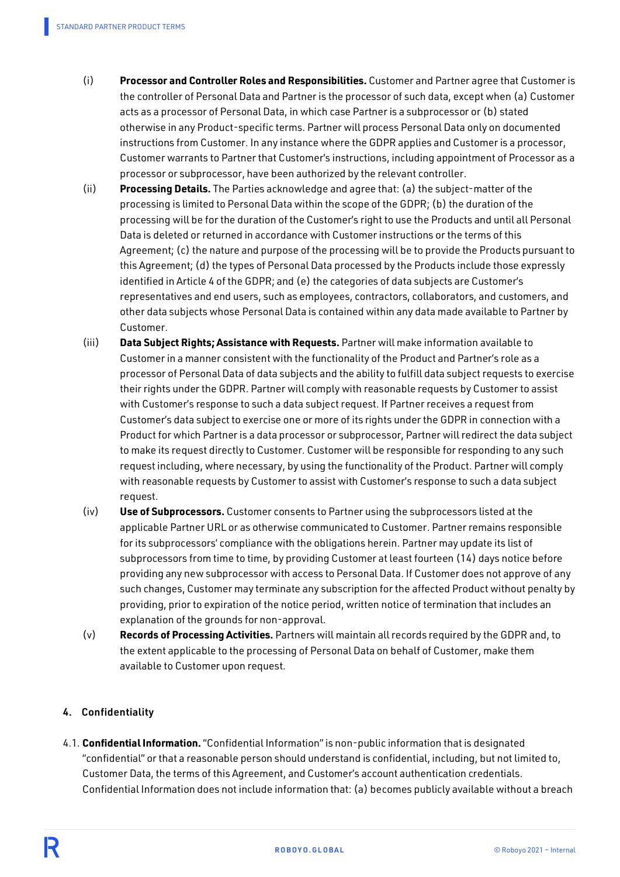- (i) **Processor and Controller Roles and Responsibilities.** Customer and Partner agree that Customer is the controller of Personal Data and Partner is the processor of such data, except when (a) Customer acts as a processor of Personal Data, in which case Partner is a subprocessor or (b) stated otherwise in any Product-specific terms. Partner will process Personal Data only on documented instructions from Customer. In any instance where the GDPR applies and Customer is a processor, Customer warrants to Partner that Customer's instructions, including appointment of Processor as a processor or subprocessor, have been authorized by the relevant controller.
- (ii) **Processing Details.** The Parties acknowledge and agree that: (a) the subject-matter of the processing is limited to Personal Data within the scope of the GDPR; (b) the duration of the processing will be for the duration of the Customer's right to use the Products and until all Personal Data is deleted or returned in accordance with Customer instructions or the terms of this Agreement; (c) the nature and purpose of the processing will be to provide the Products pursuant to this Agreement; (d) the types of Personal Data processed by the Products include those expressly identified in Article 4 of the GDPR; and (e) the categories of data subjects are Customer's representatives and end users, such as employees, contractors, collaborators, and customers, and other data subjects whose Personal Data is contained within any data made available to Partner by Customer.
- (iii) **Data Subject Rights; Assistance with Requests.** Partner will make information available to Customer in a manner consistent with the functionality of the Product and Partner's role as a processor of Personal Data of data subjects and the ability to fulfill data subject requests to exercise their rights under the GDPR. Partner will comply with reasonable requests by Customer to assist with Customer's response to such a data subject request. If Partner receives a request from Customer's data subject to exercise one or more of its rights under the GDPR in connection with a Product for which Partner is a data processor or subprocessor, Partner will redirect the data subject to make its request directly to Customer. Customer will be responsible for responding to any such request including, where necessary, by using the functionality of the Product. Partner will comply with reasonable requests by Customer to assist with Customer's response to such a data subject request.
- (iv) **Use of Subprocessors.** Customer consents to Partner using the subprocessors listed at the applicable Partner URL or as otherwise communicated to Customer. Partner remains responsible for its subprocessors' compliance with the obligations herein. Partner may update its list of subprocessors from time to time, by providing Customer at least fourteen (14) days notice before providing any new subprocessor with access to Personal Data. If Customer does not approve of any such changes, Customer may terminate any subscription for the affected Product without penalty by providing, prior to expiration of the notice period, written notice of termination that includes an explanation of the grounds for non-approval.
- (v) **Records of Processing Activities.** Partners will maintain all records required by the GDPR and, to the extent applicable to the processing of Personal Data on behalf of Customer, make them available to Customer upon request.

# 4. Confidentiality

4.1. **Confidential Information.**"Confidential Information" is non-public information that is designated "confidential" or that a reasonable person should understand is confidential, including, but not limited to, Customer Data, the terms of this Agreement, and Customer's account authentication credentials. Confidential Information does not include information that: (a) becomes publicly available without a breach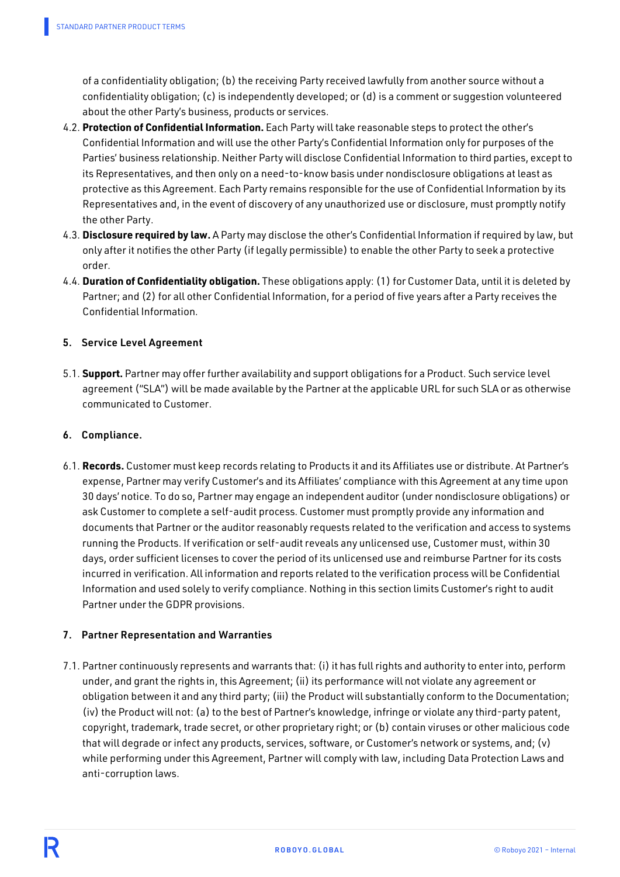of a confidentiality obligation; (b) the receiving Party received lawfully from another source without a confidentiality obligation; (c) is independently developed; or (d) is a comment or suggestion volunteered about the other Party's business, products or services.

- 4.2. **Protection of Confidential Information.** Each Party will take reasonable steps to protect the other's Confidential Information and will use the other Party's Confidential Information only for purposes of the Parties' business relationship. Neither Party will disclose Confidential Information to third parties, except to its Representatives, and then only on a need-to-know basis under nondisclosure obligations at least as protective as this Agreement. Each Party remains responsible for the use of Confidential Information by its Representatives and, in the event of discovery of any unauthorized use or disclosure, must promptly notify the other Party.
- 4.3. **Disclosure required by law.** A Party may disclose the other's Confidential Information if required by law, but only after it notifies the other Party (if legally permissible) to enable the other Party to seek a protective order.
- 4.4. **Duration of Confidentiality obligation.** These obligations apply: (1) for Customer Data, until it is deleted by Partner; and (2) for all other Confidential Information, for a period of five years after a Party receives the Confidential Information.

## 5. Service Level Agreement

5.1. **Support.** Partner may offer further availability and support obligations for a Product. Such service level agreement ("SLA") will be made available by the Partner at the applicable URL for such SLA or as otherwise communicated to Customer.

#### 6. Compliance.

6.1. **Records.** Customer must keep records relating to Products it and its Affiliates use or distribute. At Partner's expense, Partner may verify Customer's and its Affiliates' compliance with this Agreement at any time upon 30 days' notice. To do so, Partner may engage an independent auditor (under nondisclosure obligations) or ask Customer to complete a self-audit process. Customer must promptly provide any information and documents that Partner or the auditor reasonably requests related to the verification and access to systems running the Products. If verification or self-audit reveals any unlicensed use, Customer must, within 30 days, order sufficient licenses to cover the period of its unlicensed use and reimburse Partner for its costs incurred in verification. All information and reports related to the verification process will be Confidential Information and used solely to verify compliance. Nothing in this section limits Customer's right to audit Partner under the GDPR provisions.

#### 7. Partner Representation and Warranties

7.1. Partner continuously represents and warrants that: (i) it has full rights and authority to enter into, perform under, and grant the rights in, this Agreement; (ii) its performance will not violate any agreement or obligation between it and any third party; (iii) the Product will substantially conform to the Documentation; (iv) the Product will not: (a) to the best of Partner's knowledge, infringe or violate any third-party patent, copyright, trademark, trade secret, or other proprietary right; or (b) contain viruses or other malicious code that will degrade or infect any products, services, software, or Customer's network or systems, and; (v) while performing under this Agreement, Partner will comply with law, including Data Protection Laws and anti-corruption laws.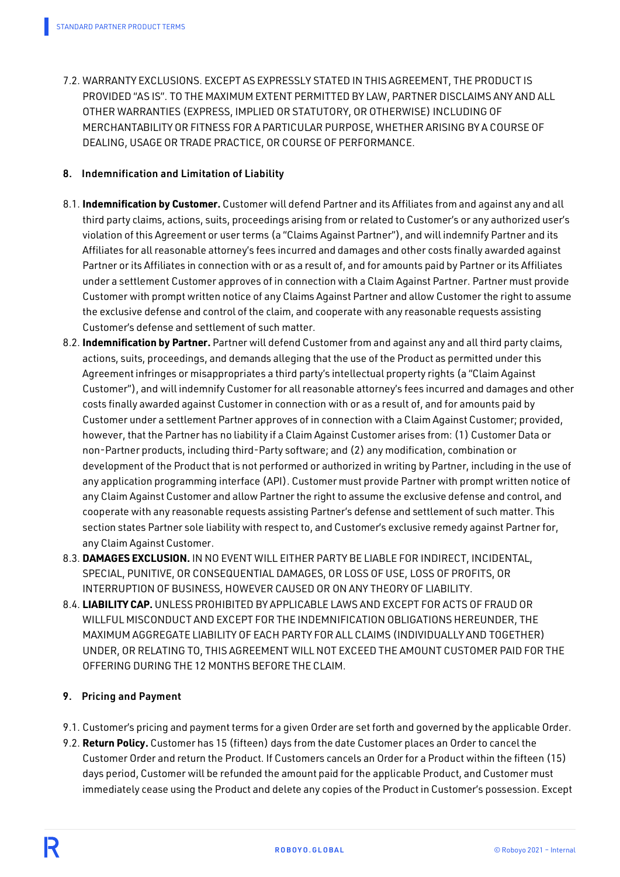7.2. WARRANTY EXCLUSIONS. EXCEPT AS EXPRESSLY STATED IN THIS AGREEMENT, THE PRODUCT IS PROVIDED "AS IS". TO THE MAXIMUM EXTENT PERMITTED BY LAW, PARTNER DISCLAIMS ANY AND ALL OTHER WARRANTIES (EXPRESS, IMPLIED OR STATUTORY, OR OTHERWISE) INCLUDING OF MERCHANTABILITY OR FITNESS FOR A PARTICULAR PURPOSE, WHETHER ARISING BY A COURSE OF DEALING, USAGE OR TRADE PRACTICE, OR COURSE OF PERFORMANCE.

#### 8. Indemnification and Limitation of Liability

- 8.1. **Indemnification by Customer.** Customer will defend Partner and its Affiliates from and against any and all third party claims, actions, suits, proceedings arising from or related to Customer's or any authorized user's violation of this Agreement or user terms (a "Claims Against Partner"), and will indemnify Partner and its Affiliates for all reasonable attorney's fees incurred and damages and other costs finally awarded against Partner or its Affiliates in connection with or as a result of, and for amounts paid by Partner or its Affiliates under a settlement Customer approves of in connection with a Claim Against Partner. Partner must provide Customer with prompt written notice of any Claims Against Partner and allow Customer the right to assume the exclusive defense and control of the claim, and cooperate with any reasonable requests assisting Customer's defense and settlement of such matter.
- 8.2. **Indemnification by Partner.** Partner will defend Customer from and against any and all third party claims, actions, suits, proceedings, and demands alleging that the use of the Product as permitted under this Agreement infringes or misappropriates a third party's intellectual property rights (a "Claim Against Customer"), and will indemnify Customer for all reasonable attorney's fees incurred and damages and other costs finally awarded against Customer in connection with or as a result of, and for amounts paid by Customer under a settlement Partner approves of in connection with a Claim Against Customer; provided, however, that the Partner has no liability if a Claim Against Customer arises from: (1) Customer Data or non-Partner products, including third-Party software; and (2) any modification, combination or development of the Product that is not performed or authorized in writing by Partner, including in the use of any application programming interface (API). Customer must provide Partner with prompt written notice of any Claim Against Customer and allow Partner the right to assume the exclusive defense and control, and cooperate with any reasonable requests assisting Partner's defense and settlement of such matter. This section states Partner sole liability with respect to, and Customer's exclusive remedy against Partner for, any Claim Against Customer.
- 8.3. **DAMAGES EXCLUSION.** IN NO EVENT WILL EITHER PARTY BE LIABLE FOR INDIRECT, INCIDENTAL, SPECIAL, PUNITIVE, OR CONSEQUENTIAL DAMAGES, OR LOSS OF USE, LOSS OF PROFITS, OR INTERRUPTION OF BUSINESS, HOWEVER CAUSED OR ON ANY THEORY OF LIABILITY.
- 8.4. **LIABILITY CAP.** UNLESS PROHIBITED BY APPLICABLE LAWS AND EXCEPT FOR ACTS OF FRAUD OR WILLFUL MISCONDUCT AND EXCEPT FOR THE INDEMNIFICATION OBLIGATIONS HEREUNDER, THE MAXIMUM AGGREGATE LIABILITY OF EACH PARTY FOR ALL CLAIMS (INDIVIDUALLY AND TOGETHER) UNDER, OR RELATING TO, THIS AGREEMENT WILL NOT EXCEED THE AMOUNT CUSTOMER PAID FOR THE OFFERING DURING THE 12 MONTHS BEFORE THE CLAIM.

## 9. Pricing and Payment

- 9.1. Customer's pricing and payment terms for a given Order are set forth and governed by the applicable Order.
- 9.2. **Return Policy.** Customer has 15 (fifteen) days from the date Customer places an Order to cancel the Customer Order and return the Product. If Customers cancels an Order for a Product within the fifteen (15) days period, Customer will be refunded the amount paid for the applicable Product, and Customer must immediately cease using the Product and delete any copies of the Product in Customer's possession. Except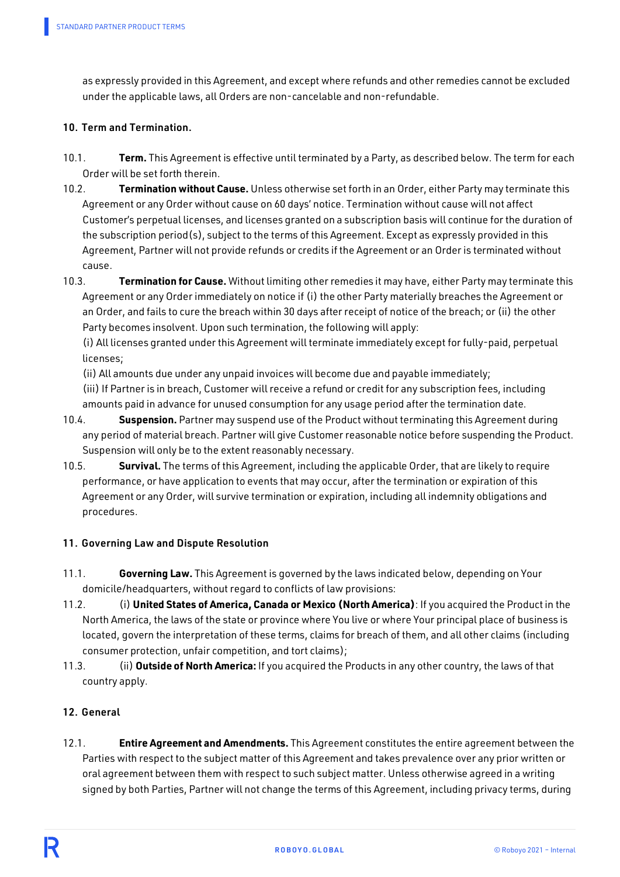as expressly provided in this Agreement, and except where refunds and other remedies cannot be excluded under the applicable laws, all Orders are non-cancelable and non-refundable.

### 10. Term and Termination.

- 10.1. **Term.** This Agreement is effective until terminated by a Party, as described below. The term for each Order will be set forth therein.
- 10.2. **Termination without Cause.** Unless otherwise set forth in an Order, either Party may terminate this Agreement or any Order without cause on 60 days' notice. Termination without cause will not affect Customer's perpetual licenses, and licenses granted on a subscription basis will continue for the duration of the subscription period(s), subject to the terms of this Agreement. Except as expressly provided in this Agreement, Partner will not provide refunds or credits if the Agreement or an Order is terminated without cause.
- 10.3. **Termination for Cause.** Without limiting other remedies it may have, either Party may terminate this Agreement or any Order immediately on notice if (i) the other Party materially breaches the Agreement or an Order, and fails to cure the breach within 30 days after receipt of notice of the breach; or (ii) the other Party becomes insolvent. Upon such termination, the following will apply:

(i) All licenses granted under this Agreement will terminate immediately except for fully-paid, perpetual licenses;

(ii) All amounts due under any unpaid invoices will become due and payable immediately;

(iii) If Partner is in breach, Customer will receive a refund or credit for any subscription fees, including amounts paid in advance for unused consumption for any usage period after the termination date.

- 10.4. **Suspension.** Partner may suspend use of the Product without terminating this Agreement during any period of material breach. Partner will give Customer reasonable notice before suspending the Product. Suspension will only be to the extent reasonably necessary.
- 10.5. **Survival.** The terms of this Agreement, including the applicable Order, that are likely to require performance, or have application to events that may occur, after the termination or expiration of this Agreement or any Order, will survive termination or expiration, including all indemnity obligations and procedures.

## 11. Governing Law and Dispute Resolution

- 11.1. **Governing Law.** This Agreement is governed by the laws indicated below, depending on Your domicile/headquarters, without regard to conflicts of law provisions:
- 11.2. (i) **United States of America, Canada or Mexico (North America)**: If you acquired the Product in the North America, the laws of the state or province where You live or where Your principal place of business is located, govern the interpretation of these terms, claims for breach of them, and all other claims (including consumer protection, unfair competition, and tort claims);
- 11.3. (ii) **Outside of North America:** If you acquired the Products in any other country, the laws of that country apply.

## 12. General

12.1. **Entire Agreement and Amendments.** This Agreement constitutes the entire agreement between the Parties with respect to the subject matter of this Agreement and takes prevalence over any prior written or oral agreement between them with respect to such subject matter. Unless otherwise agreed in a writing signed by both Parties, Partner will not change the terms of this Agreement, including privacy terms, during